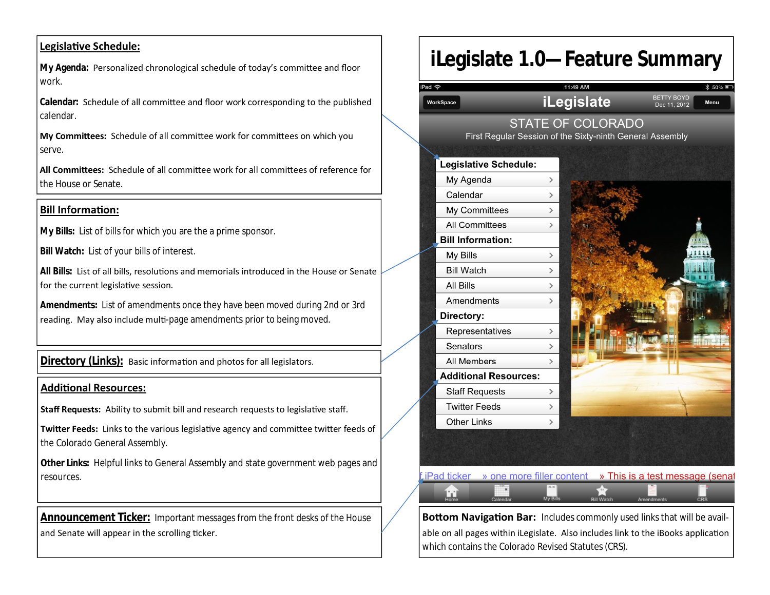### **LegislaƟve Schedule:**

**My Agenda:** Personalized chronological schedule of today's committee and floor work.

**Calendar:** Schedule of all committee and floor work corresponding to the published calendar.

**My CommiƩees:** Schedule of all commiƩee work for commiƩees on which you serve.

**All CommiƩees:** Schedule of all commiƩee work for all commiƩees of reference for the House or Senate.

### **Bill InformaƟon:**

**My Bills:** List of bills for which you are the a prime sponsor.

**Bill Watch:** List of your bills of interest.

All Bills: List of all bills, resolutions and memorials introduced in the House or Senate for the current legislative session.

**Amendments:** List of amendments once they have been moved during 2nd or 3rd reading. May also include multi-page amendments prior to being moved.

**Directory (Links):** Basic information and photos for all legislators.

#### **AddiƟonal Resources:**

**Staff Requests:** Ability to submit bill and research requests to legislative staff.

**Twitter Feeds:** Links to the various legislative agency and committee twitter feeds of the Colorado General Assembly.

**Other Links:** Helpful links to General Assembly and state government web pages and resources.

**Announcement Ticker:** Important messages from the front desks of the House and Senate will appear in the scrolling ticker.

## **iLegislate 1.0—Feature Summary**



 $i$  Pad ticker  $\rightarrow$  one more filler content  $\rightarrow$  This is a test message (senat

نتأ

**Bottom Navigation Bar:** Includes commonly used links that will be available on all pages within iLegislate. Also includes link to the iBooks application which contains the Colorado Revised Statutes (CRS).